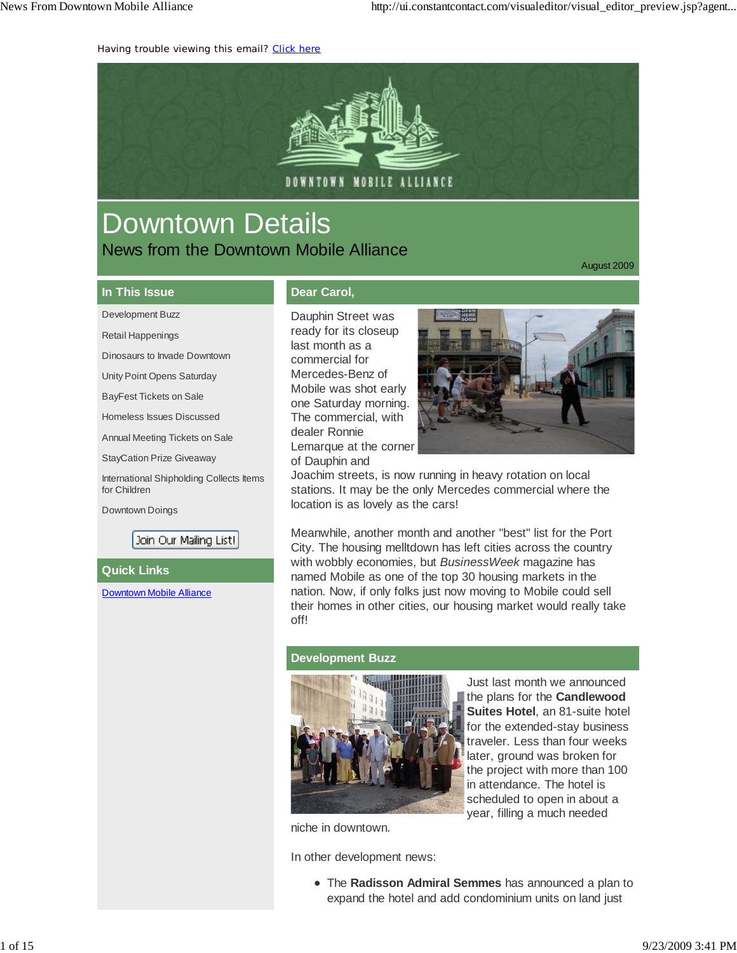Having trouble viewing this email? Click here



# Downtown Details News from the Downtown Mobile Alliance

August 2009

#### **In This Issue**

Development Buzz

Retail Happenings

Dinosaurs to Invade Downtown

Unity Point Opens Saturday

BayFest Tickets on Sale

Homeless Issues Discussed

Annual Meeting Tickets on Sale

StayCation Prize Giveaway

International Shipholding Collects Items for Children

Downtown Doings

Join Our Mailing List!

**Quick Links**

Downtown Mobile Alliance

### **Dear Carol,**

Dauphin Street was ready for its closeup last month as a commercial for Mercedes-Benz of Mobile was shot early one Saturday morning. The commercial, with dealer Ronnie Lemarque at the corner of Dauphin and



Joachim streets, is now running in heavy rotation on local stations. It may be the only Mercedes commercial where the location is as lovely as the cars!

Meanwhile, another month and another "best" list for the Port City. The housing melltdown has left cities across the country with wobbly economies, but *BusinessWeek* magazine has named Mobile as one of the top 30 housing markets in the nation. Now, if only folks just now moving to Mobile could sell their homes in other cities, our housing market would really take off!

#### **Development Buzz**



Just last month we announced the plans for the **Candlewood Suites Hotel**, an 81-suite hotel for the extended-stay business traveler. Less than four weeks later, ground was broken for the project with more than 100 in attendance. The hotel is scheduled to open in about a year, filling a much needed

niche in downtown.

In other development news:

The **Radisson Admiral Semmes** has announced a plan to expand the hotel and add condominium units on land just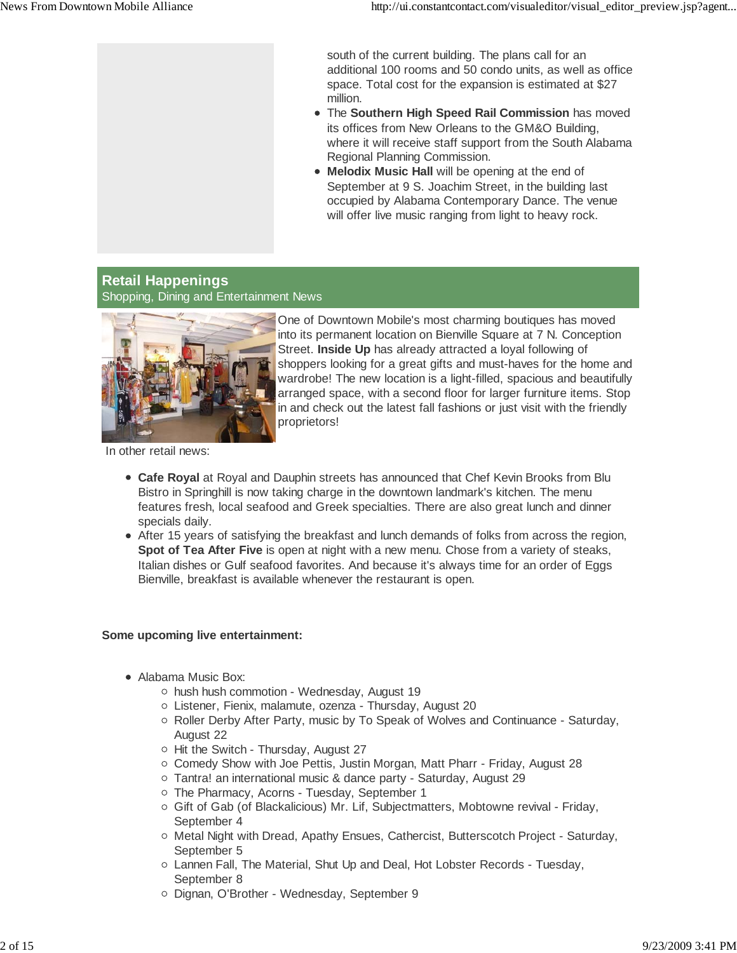south of the current building. The plans call for an additional 100 rooms and 50 condo units, as well as office space. Total cost for the expansion is estimated at \$27 million.

- The **Southern High Speed Rail Commission** has moved its offices from New Orleans to the GM&O Building, where it will receive staff support from the South Alabama Regional Planning Commission.
- **Melodix Music Hall** will be opening at the end of September at 9 S. Joachim Street, in the building last occupied by Alabama Contemporary Dance. The venue will offer live music ranging from light to heavy rock.

### **Retail Happenings** Shopping, Dining and Entertainment News



One of Downtown Mobile's most charming boutiques has moved into its permanent location on Bienville Square at 7 N. Conception Street. **Inside Up** has already attracted a loyal following of shoppers looking for a great gifts and must-haves for the home and wardrobe! The new location is a light-filled, spacious and beautifully arranged space, with a second floor for larger furniture items. Stop in and check out the latest fall fashions or just visit with the friendly proprietors!

In other retail news:

- **Cafe Royal** at Royal and Dauphin streets has announced that Chef Kevin Brooks from Blu Bistro in Springhill is now taking charge in the downtown landmark's kitchen. The menu features fresh, local seafood and Greek specialties. There are also great lunch and dinner specials daily.
- After 15 years of satisfying the breakfast and lunch demands of folks from across the region, **Spot of Tea After Five** is open at night with a new menu. Chose from a variety of steaks, Italian dishes or Gulf seafood favorites. And because it's always time for an order of Eggs Bienville, breakfast is available whenever the restaurant is open.

#### **Some upcoming live entertainment:**

- Alabama Music Box:
	- $\circ$  hush hush commotion Wednesday, August 19
	- Listener, Fienix, malamute, ozenza Thursday, August 20
	- o Roller Derby After Party, music by To Speak of Wolves and Continuance Saturday, August 22
	- o Hit the Switch Thursday, August 27
	- Comedy Show with Joe Pettis, Justin Morgan, Matt Pharr Friday, August 28
	- Tantra! an international music & dance party Saturday, August 29
	- o The Pharmacy, Acorns Tuesday, September 1
	- o Gift of Gab (of Blackalicious) Mr. Lif, Subjectmatters, Mobtowne revival Friday, September 4
	- $\circ$  Metal Night with Dread, Apathy Ensues, Cathercist, Butterscotch Project Saturday, September 5
	- Lannen Fall, The Material, Shut Up and Deal, Hot Lobster Records Tuesday, September 8
	- o Dignan, O'Brother Wednesday, September 9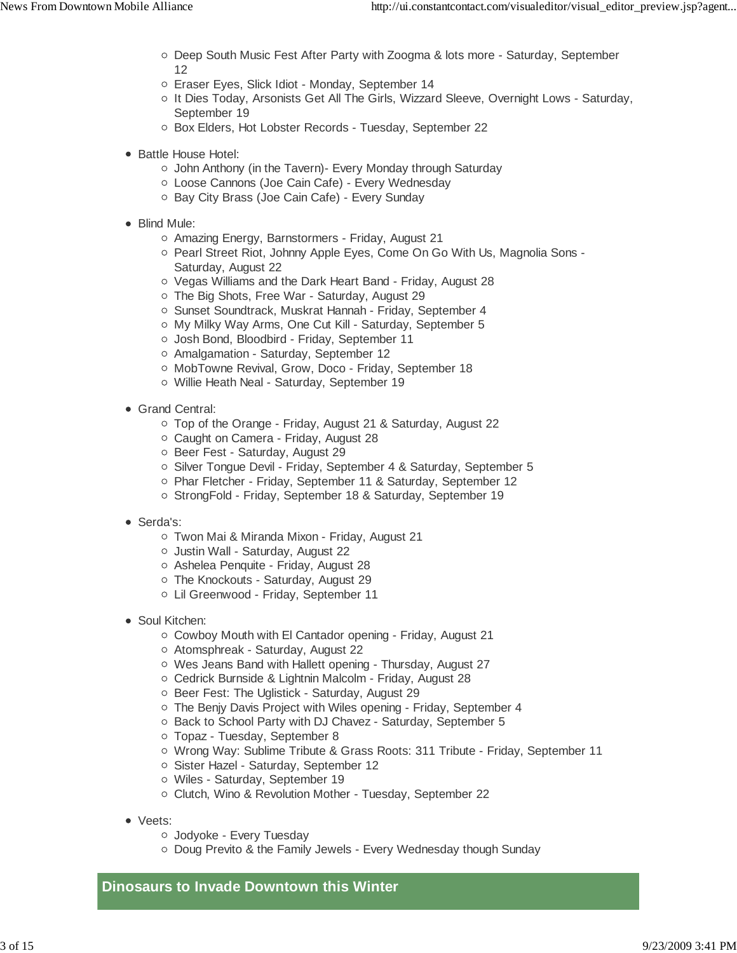- o Deep South Music Fest After Party with Zoogma & lots more Saturday, September 12
- Eraser Eyes, Slick Idiot Monday, September 14
- o It Dies Today, Arsonists Get All The Girls, Wizzard Sleeve, Overnight Lows Saturday, September 19
- o Box Elders, Hot Lobster Records Tuesday, September 22
- Battle House Hotel:
	- John Anthony (in the Tavern)- Every Monday through Saturday
	- Loose Cannons (Joe Cain Cafe) Every Wednesday
	- o Bay City Brass (Joe Cain Cafe) Every Sunday
- Blind Mule:
	- Amazing Energy, Barnstormers Friday, August 21
	- o Pearl Street Riot, Johnny Apple Eyes, Come On Go With Us, Magnolia Sons -Saturday, August 22
	- Vegas Williams and the Dark Heart Band Friday, August 28
	- o The Big Shots, Free War Saturday, August 29
	- o Sunset Soundtrack, Muskrat Hannah Friday, September 4
	- o My Milky Way Arms, One Cut Kill Saturday, September 5
	- Josh Bond, Bloodbird Friday, September 11
	- Amalgamation Saturday, September 12
	- MobTowne Revival, Grow, Doco Friday, September 18
	- Willie Heath Neal Saturday, September 19
- Grand Central:
	- Top of the Orange Friday, August 21 & Saturday, August 22
	- Caught on Camera Friday, August 28
	- o Beer Fest Saturday, August 29
	- Silver Tongue Devil Friday, September 4 & Saturday, September 5
	- o Phar Fletcher Friday, September 11 & Saturday, September 12
	- o StrongFold Friday, September 18 & Saturday, September 19
- Serda's:
	- Twon Mai & Miranda Mixon Friday, August 21
	- o Justin Wall Saturday, August 22
	- Ashelea Penquite Friday, August 28
	- The Knockouts Saturday, August 29
	- Lil Greenwood Friday, September 11
- Soul Kitchen:
	- Cowboy Mouth with El Cantador opening Friday, August 21
	- Atomsphreak Saturday, August 22
	- Wes Jeans Band with Hallett opening Thursday, August 27
	- Cedrick Burnside & Lightnin Malcolm Friday, August 28
	- o Beer Fest: The Uglistick Saturday, August 29
	- The Benjy Davis Project with Wiles opening Friday, September 4
	- Back to School Party with DJ Chavez Saturday, September 5
	- Topaz Tuesday, September 8
	- Wrong Way: Sublime Tribute & Grass Roots: 311 Tribute Friday, September 11
	- o Sister Hazel Saturday, September 12
	- Wiles Saturday, September 19
	- Clutch, Wino & Revolution Mother Tuesday, September 22
- Veets:
	- Jodyoke Every Tuesday
	- Doug Previto & the Family Jewels Every Wednesday though Sunday

**Dinosaurs to Invade Downtown this Winter**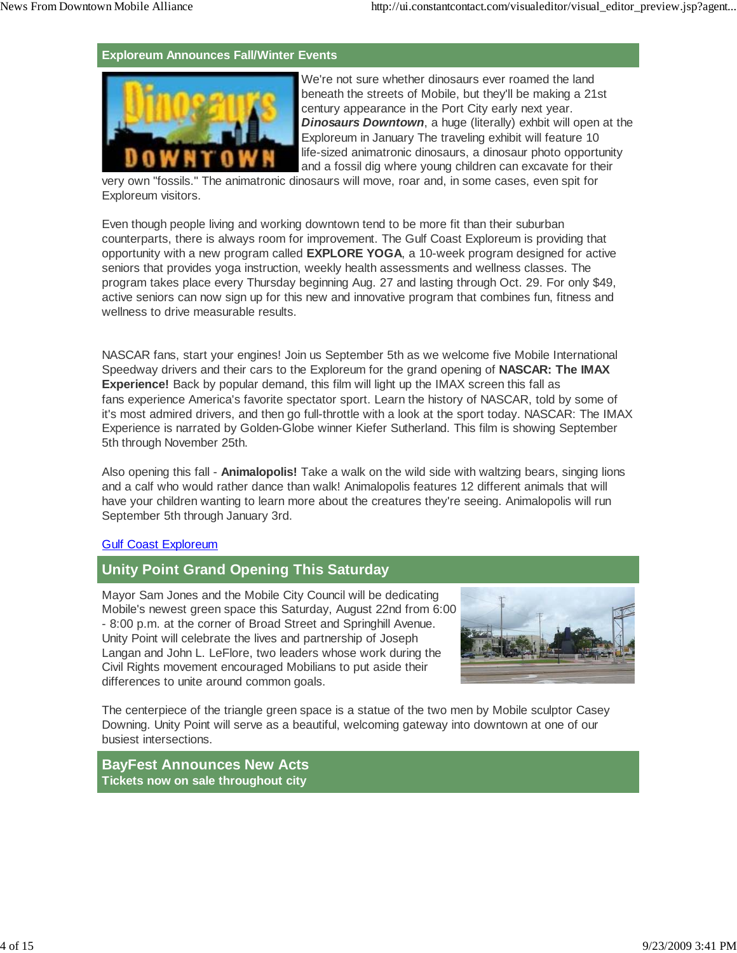#### **Exploreum Announces Fall/Winter Events**



We're not sure whether dinosaurs ever roamed the land beneath the streets of Mobile, but they'll be making a 21st century appearance in the Port City early next year. *Dinosaurs Downtown*, a huge (literally) exhbit will open at the Exploreum in January The traveling exhibit will feature 10 life-sized animatronic dinosaurs, a dinosaur photo opportunity and a fossil dig where young children can excavate for their

very own "fossils." The animatronic dinosaurs will move, roar and, in some cases, even spit for Exploreum visitors.

Even though people living and working downtown tend to be more fit than their suburban counterparts, there is always room for improvement. The Gulf Coast Exploreum is providing that opportunity with a new program called **EXPLORE YOGA**, a 10-week program designed for active seniors that provides yoga instruction, weekly health assessments and wellness classes. The program takes place every Thursday beginning Aug. 27 and lasting through Oct. 29. For only \$49, active seniors can now sign up for this new and innovative program that combines fun, fitness and wellness to drive measurable results.

NASCAR fans, start your engines! Join us September 5th as we welcome five Mobile International Speedway drivers and their cars to the Exploreum for the grand opening of **NASCAR: The IMAX Experience!** Back by popular demand, this film will light up the IMAX screen this fall as fans experience America's favorite spectator sport. Learn the history of NASCAR, told by some of it's most admired drivers, and then go full-throttle with a look at the sport today. NASCAR: The IMAX Experience is narrated by Golden-Globe winner Kiefer Sutherland. This film is showing September 5th through November 25th.

Also opening this fall - **Animalopolis!** Take a walk on the wild side with waltzing bears, singing lions and a calf who would rather dance than walk! Animalopolis features 12 different animals that will have your children wanting to learn more about the creatures they're seeing. Animalopolis will run September 5th through January 3rd.

#### Gulf Coast Exploreum

### **Unity Point Grand Opening This Saturday**

Mayor Sam Jones and the Mobile City Council will be dedicating Mobile's newest green space this Saturday, August 22nd from 6:00 - 8:00 p.m. at the corner of Broad Street and Springhill Avenue. Unity Point will celebrate the lives and partnership of Joseph Langan and John L. LeFlore, two leaders whose work during the Civil Rights movement encouraged Mobilians to put aside their differences to unite around common goals.



The centerpiece of the triangle green space is a statue of the two men by Mobile sculptor Casey Downing. Unity Point will serve as a beautiful, welcoming gateway into downtown at one of our busiest intersections.

**BayFest Announces New Acts Tickets now on sale throughout city**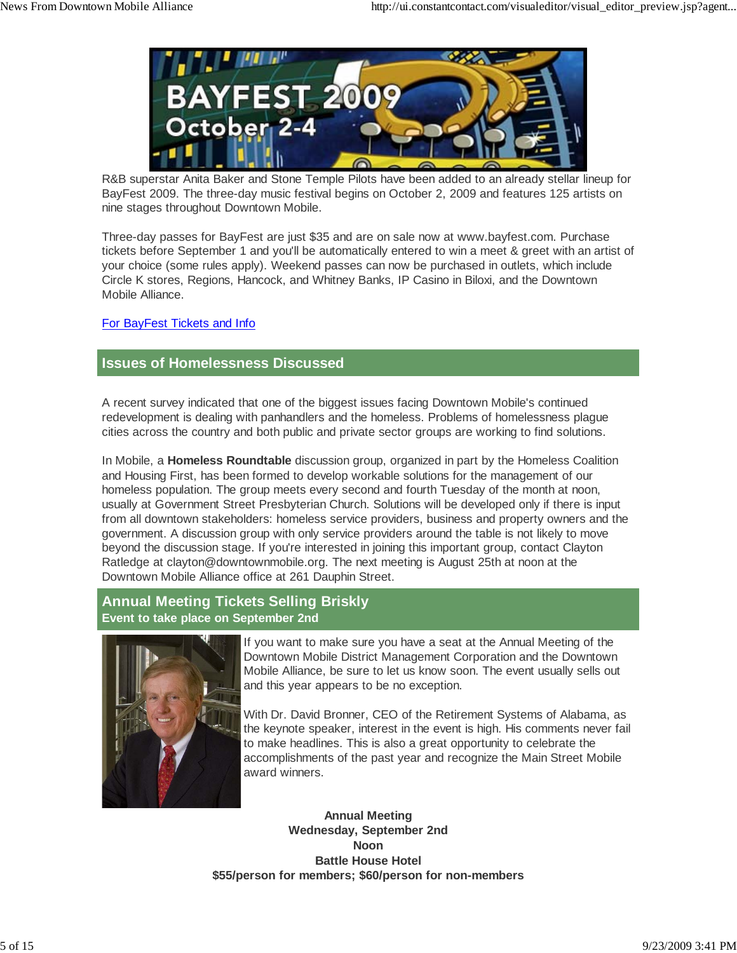

R&B superstar Anita Baker and Stone Temple Pilots have been added to an already stellar lineup for BayFest 2009. The three-day music festival begins on October 2, 2009 and features 125 artists on nine stages throughout Downtown Mobile.

Three-day passes for BayFest are just \$35 and are on sale now at www.bayfest.com. Purchase tickets before September 1 and you'll be automatically entered to win a meet & greet with an artist of your choice (some rules apply). Weekend passes can now be purchased in outlets, which include Circle K stores, Regions, Hancock, and Whitney Banks, IP Casino in Biloxi, and the Downtown Mobile Alliance.

### For BayFest Tickets and Info

### **Issues of Homelessness Discussed**

A recent survey indicated that one of the biggest issues facing Downtown Mobile's continued redevelopment is dealing with panhandlers and the homeless. Problems of homelessness plague cities across the country and both public and private sector groups are working to find solutions.

In Mobile, a **Homeless Roundtable** discussion group, organized in part by the Homeless Coalition and Housing First, has been formed to develop workable solutions for the management of our homeless population. The group meets every second and fourth Tuesday of the month at noon, usually at Government Street Presbyterian Church. Solutions will be developed only if there is input from all downtown stakeholders: homeless service providers, business and property owners and the government. A discussion group with only service providers around the table is not likely to move beyond the discussion stage. If you're interested in joining this important group, contact Clayton Ratledge at clayton@downtownmobile.org. The next meeting is August 25th at noon at the Downtown Mobile Alliance office at 261 Dauphin Street.

### **Annual Meeting Tickets Selling Briskly Event to take place on September 2nd**



If you want to make sure you have a seat at the Annual Meeting of the Downtown Mobile District Management Corporation and the Downtown Mobile Alliance, be sure to let us know soon. The event usually sells out and this year appears to be no exception.

With Dr. David Bronner, CEO of the Retirement Systems of Alabama, as the keynote speaker, interest in the event is high. His comments never fail to make headlines. This is also a great opportunity to celebrate the accomplishments of the past year and recognize the Main Street Mobile award winners.

**Annual Meeting Wednesday, September 2nd Noon Battle House Hotel \$55/person for members; \$60/person for non-members**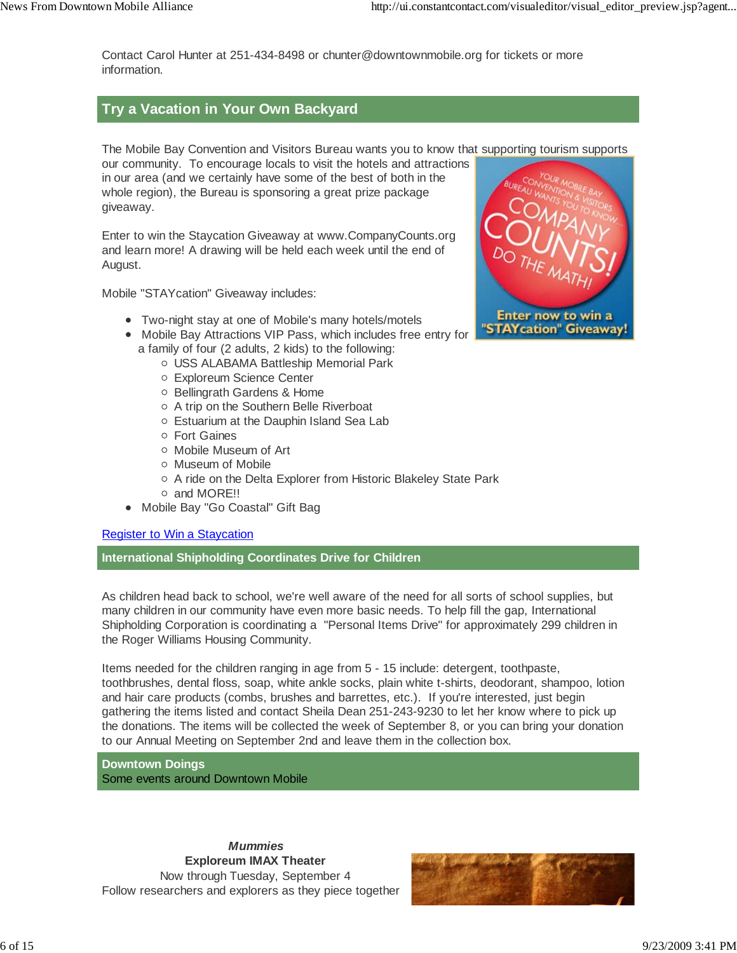Contact Carol Hunter at 251-434-8498 or chunter@downtownmobile.org for tickets or more information.

## **Try a Vacation in Your Own Backyard**

The Mobile Bay Convention and Visitors Bureau wants you to know that supporting tourism supports

our community. To encourage locals to visit the hotels and attractions in our area (and we certainly have some of the best of both in the whole region), the Bureau is sponsoring a great prize package giveaway.

Enter to win the Staycation Giveaway at www.CompanyCounts.org and learn more! A drawing will be held each week until the end of August.

Mobile "STAYcation" Giveaway includes:

- Two-night stay at one of Mobile's many hotels/motels
- Mobile Bay Attractions VIP Pass, which includes free entry for a family of four (2 adults, 2 kids) to the following:
	- USS ALABAMA Battleship Memorial Park
	- Exploreum Science Center
	- o Bellingrath Gardens & Home
	- A trip on the Southern Belle Riverboat
	- Estuarium at the Dauphin Island Sea Lab
	- Fort Gaines
	- o Mobile Museum of Art
	- Museum of Mobile
	- A ride on the Delta Explorer from Historic Blakeley State Park
	- and MORE!!
- Mobile Bay "Go Coastal" Gift Bag

### Register to Win a Staycation

**International Shipholding Coordinates Drive for Children**

As children head back to school, we're well aware of the need for all sorts of school supplies, but many children in our community have even more basic needs. To help fill the gap, International Shipholding Corporation is coordinating a "Personal Items Drive" for approximately 299 children in the Roger Williams Housing Community.

Items needed for the children ranging in age from 5 - 15 include: detergent, toothpaste, toothbrushes, dental floss, soap, white ankle socks, plain white t-shirts, deodorant, shampoo, lotion and hair care products (combs, brushes and barrettes, etc.). If you're interested, just begin gathering the items listed and contact Sheila Dean 251-243-9230 to let her know where to pick up the donations. The items will be collected the week of September 8, or you can bring your donation to our Annual Meeting on September 2nd and leave them in the collection box.

**Downtown Doings** Some events around Downtown Mobile

 *Mummies* **Exploreum IMAX Theater** Now through Tuesday, September 4 Follow researchers and explorers as they piece together



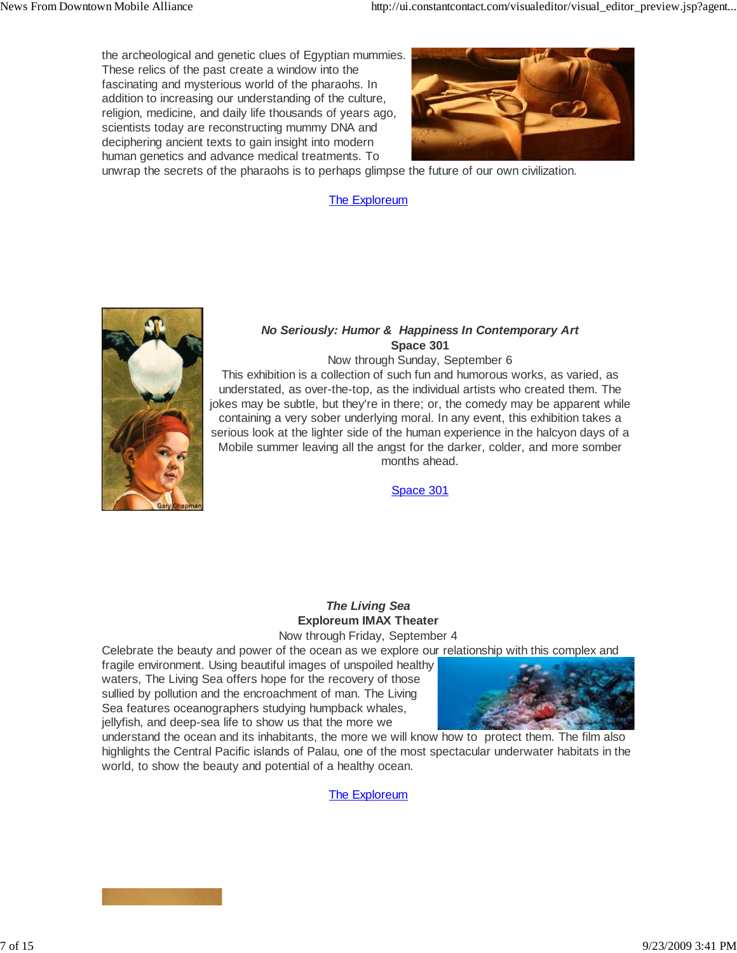the archeological and genetic clues of Egyptian mummies. These relics of the past create a window into the fascinating and mysterious world of the pharaohs. In addition to increasing our understanding of the culture, religion, medicine, and daily life thousands of years ago, scientists today are reconstructing mummy DNA and deciphering ancient texts to gain insight into modern human genetics and advance medical treatments. To



unwrap the secrets of the pharaohs is to perhaps glimpse the future of our own civilization.

### The Exploreum



#### *No Seriously: Humor & Happiness In Contemporary Art* **Space 301**

Now through Sunday, September 6 This exhibition is a collection of such fun and humorous works, as varied, as understated, as over-the-top, as the individual artists who created them. The jokes may be subtle, but they're in there; or, the comedy may be apparent while containing a very sober underlying moral. In any event, this exhibition takes a serious look at the lighter side of the human experience in the halcyon days of a Mobile summer leaving all the angst for the darker, colder, and more somber months ahead.

Space 301

## *The Living Sea* **Exploreum IMAX Theater**

Now through Friday, September 4

Celebrate the beauty and power of the ocean as we explore our relationship with this complex and

fragile environment. Using beautiful images of unspoiled healthy waters, The Living Sea offers hope for the recovery of those sullied by pollution and the encroachment of man. The Living Sea features oceanographers studying humpback whales, jellyfish, and deep-sea life to show us that the more we



understand the ocean and its inhabitants, the more we will know how to protect them. The film also highlights the Central Pacific islands of Palau, one of the most spectacular underwater habitats in the world, to show the beauty and potential of a healthy ocean.

The Exploreum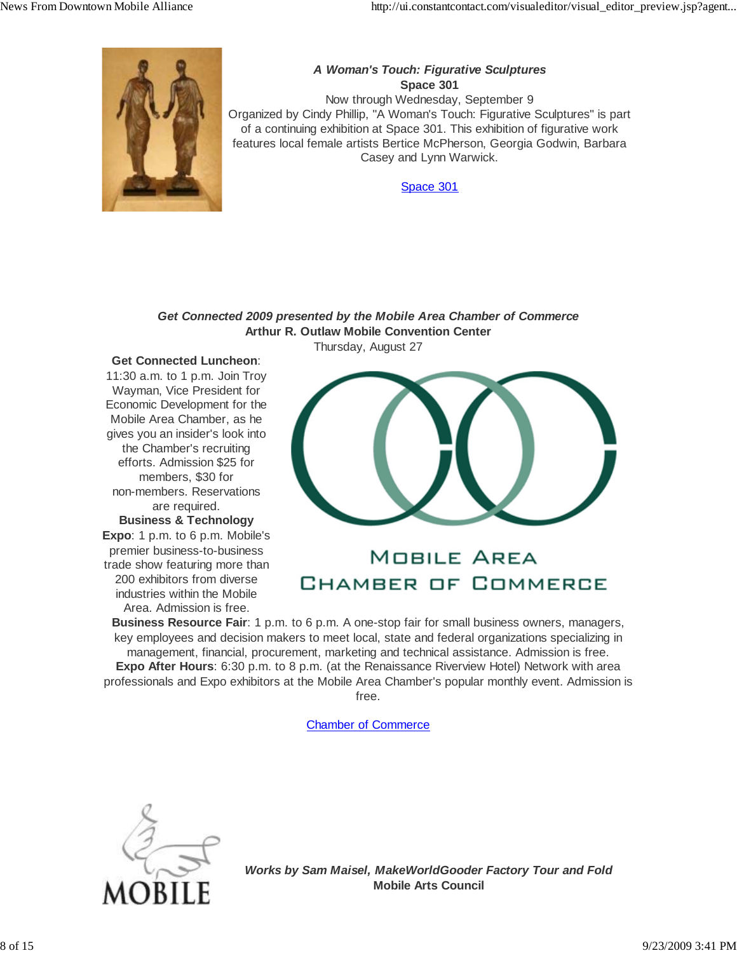

### *A Woman's Touch: Figurative Sculptures* **Space 301**

Now through Wednesday, September 9 Organized by Cindy Phillip, "A Woman's Touch: Figurative Sculptures" is part of a continuing exhibition at Space 301. This exhibition of figurative work features local female artists Bertice McPherson, Georgia Godwin, Barbara Casey and Lynn Warwick.

Space 301

#### *Get Connected 2009 presented by the Mobile Area Chamber of Commerce* **Arthur R. Outlaw Mobile Convention Center** Thursday, August 27

#### **Get Connected Luncheon**:

11:30 a.m. to 1 p.m. Join Troy Wayman, Vice President for Economic Development for the Mobile Area Chamber, as he gives you an insider's look into the Chamber's recruiting efforts. Admission \$25 for members, \$30 for non-members. Reservations are required. **Business & Technology Expo**: 1 p.m. to 6 p.m. Mobile's premier business-to-business trade show featuring more than 200 exhibitors from diverse industries within the Mobile Area. Admission is free.



# **MOBILE AREA** CHAMBER OF COMMERCE

**Business Resource Fair**: 1 p.m. to 6 p.m. A one-stop fair for small business owners, managers, key employees and decision makers to meet local, state and federal organizations specializing in management, financial, procurement, marketing and technical assistance. Admission is free. **Expo After Hours**: 6:30 p.m. to 8 p.m. (at the Renaissance Riverview Hotel) Network with area professionals and Expo exhibitors at the Mobile Area Chamber's popular monthly event. Admission is free.

Chamber of Commerce



*Works by Sam Maisel, MakeWorldGooder Factory Tour and Fold* **Mobile Arts Council**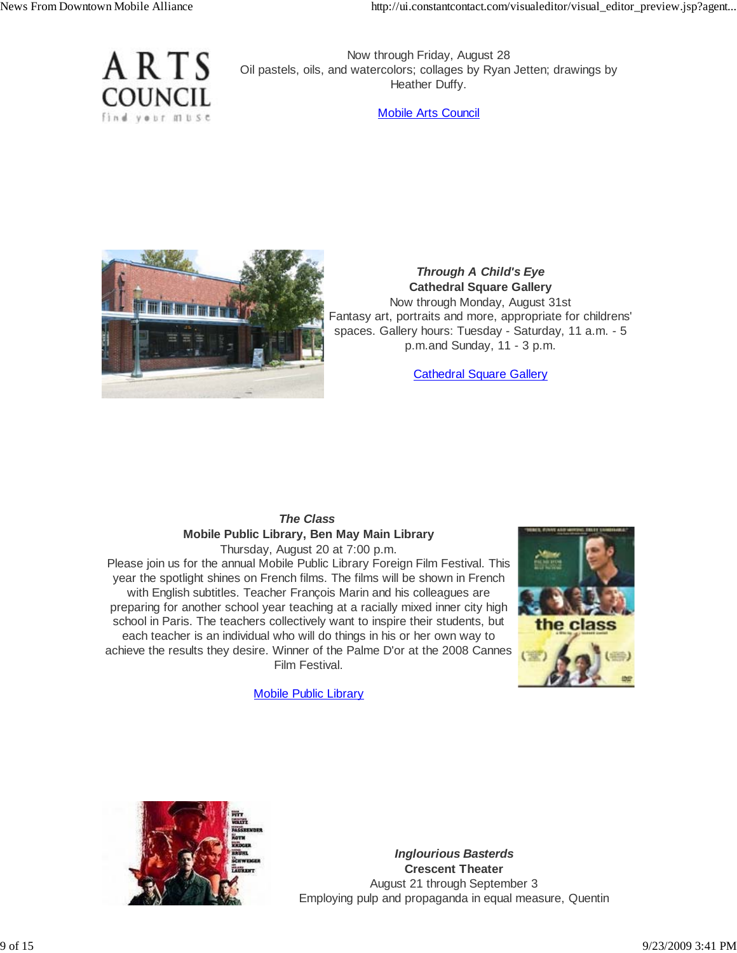

Now through Friday, August 28 Oil pastels, oils, and watercolors; collages by Ryan Jetten; drawings by Heather Duffy.

Mobile Arts Council



### *Through A Child's Eye* **Cathedral Square Gallery**

Now through Monday, August 31st Fantasy art, portraits and more, appropriate for childrens' spaces. Gallery hours: Tuesday - Saturday, 11 a.m. - 5 p.m.and Sunday, 11 - 3 p.m.

Cathedral Square Gallery

#### *The Class* **Mobile Public Library, Ben May Main Library** Thursday, August 20 at 7:00 p.m.

Please join us for the annual Mobile Public Library Foreign Film Festival. This year the spotlight shines on French films. The films will be shown in French with English subtitles. Teacher François Marin and his colleagues are preparing for another school year teaching at a racially mixed inner city high school in Paris. The teachers collectively want to inspire their students, but each teacher is an individual who will do things in his or her own way to achieve the results they desire. Winner of the Palme D'or at the 2008 Cannes Film Festival.



Mobile Public Library



*Inglourious Basterds* **Crescent Theater** August 21 through September 3 Employing pulp and propaganda in equal measure, Quentin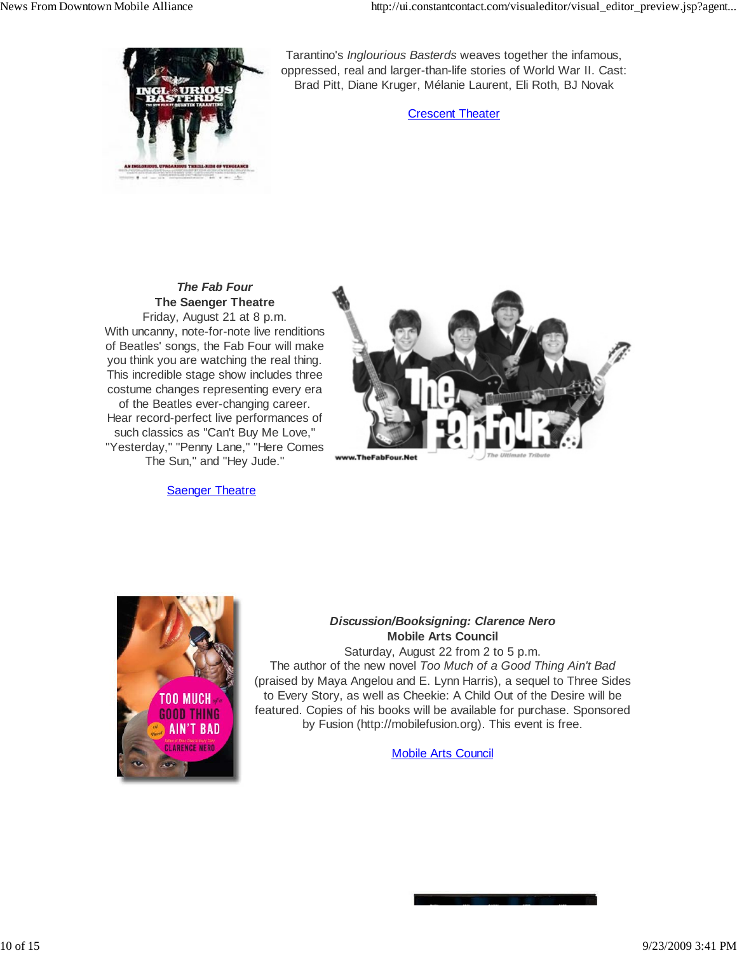

Tarantino's *Inglourious Basterds* weaves together the infamous, oppressed, real and larger-than-life stories of World War II. Cast: Brad Pitt, Diane Kruger, Mélanie Laurent, Eli Roth, BJ Novak

Crescent Theater

#### *The Fab Four* **The Saenger Theatre** Friday, August 21 at 8 p.m. With uncanny, note-for-note live renditions of Beatles' songs, the Fab Four will make you think you are watching the real thing. This incredible stage show includes three costume changes representing every era of the Beatles ever-changing career. Hear record-perfect live performances of such classics as "Can't Buy Me Love," "Yesterday," "Penny Lane," "Here Comes The Sun," and "Hey Jude."

#### **Saenger Theatre**





### *Discussion/Booksigning: Clarence Nero* **Mobile Arts Council**

Saturday, August 22 from 2 to 5 p.m. The author of the new novel *Too Much of a Good Thing Ain't Bad* (praised by Maya Angelou and E. Lynn Harris), a sequel to Three Sides to Every Story, as well as Cheekie: A Child Out of the Desire will be featured. Copies of his books will be available for purchase. Sponsored by Fusion (http://mobilefusion.org). This event is free.

Mobile Arts Council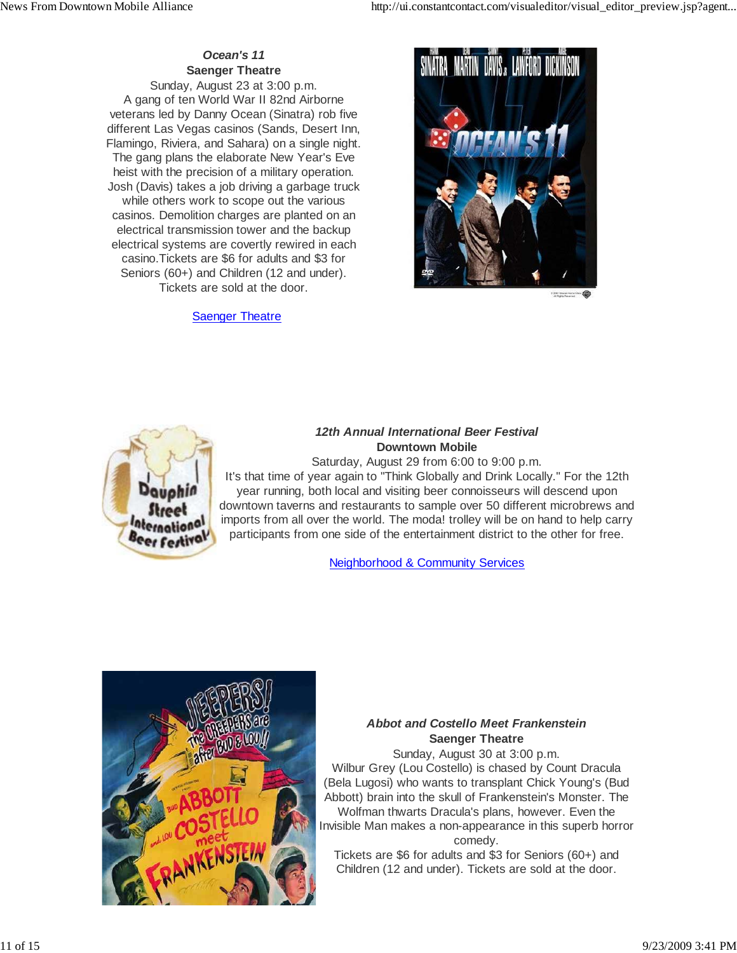### *Ocean's 11* **Saenger Theatre**

Sunday, August 23 at 3:00 p.m. A gang of ten World War II 82nd Airborne veterans led by Danny Ocean (Sinatra) rob five different Las Vegas casinos (Sands, Desert Inn, Flamingo, Riviera, and Sahara) on a single night. The gang plans the elaborate New Year's Eve heist with the precision of a military operation. Josh (Davis) takes a job driving a garbage truck while others work to scope out the various casinos. Demolition charges are planted on an electrical transmission tower and the backup electrical systems are covertly rewired in each casino.Tickets are \$6 for adults and \$3 for Seniors (60+) and Children (12 and under). Tickets are sold at the door.

### **Saenger Theatre**



**CORT Waren Hotel** 



### *12th Annual International Beer Festival* **Downtown Mobile**

Saturday, August 29 from 6:00 to 9:00 p.m. It's that time of year again to "Think Globally and Drink Locally." For the 12th year running, both local and visiting beer connoisseurs will descend upon downtown taverns and restaurants to sample over 50 different microbrews and imports from all over the world. The moda! trolley will be on hand to help carry participants from one side of the entertainment district to the other for free.

Neighborhood & Community Services



### *Abbot and Costello Meet Frankenstein* **Saenger Theatre**

Sunday, August 30 at 3:00 p.m. Wilbur Grey (Lou Costello) is chased by Count Dracula (Bela Lugosi) who wants to transplant Chick Young's (Bud Abbott) brain into the skull of Frankenstein's Monster. The Wolfman thwarts Dracula's plans, however. Even the Invisible Man makes a non-appearance in this superb horror comedy.

Tickets are \$6 for adults and \$3 for Seniors (60+) and Children (12 and under). Tickets are sold at the door.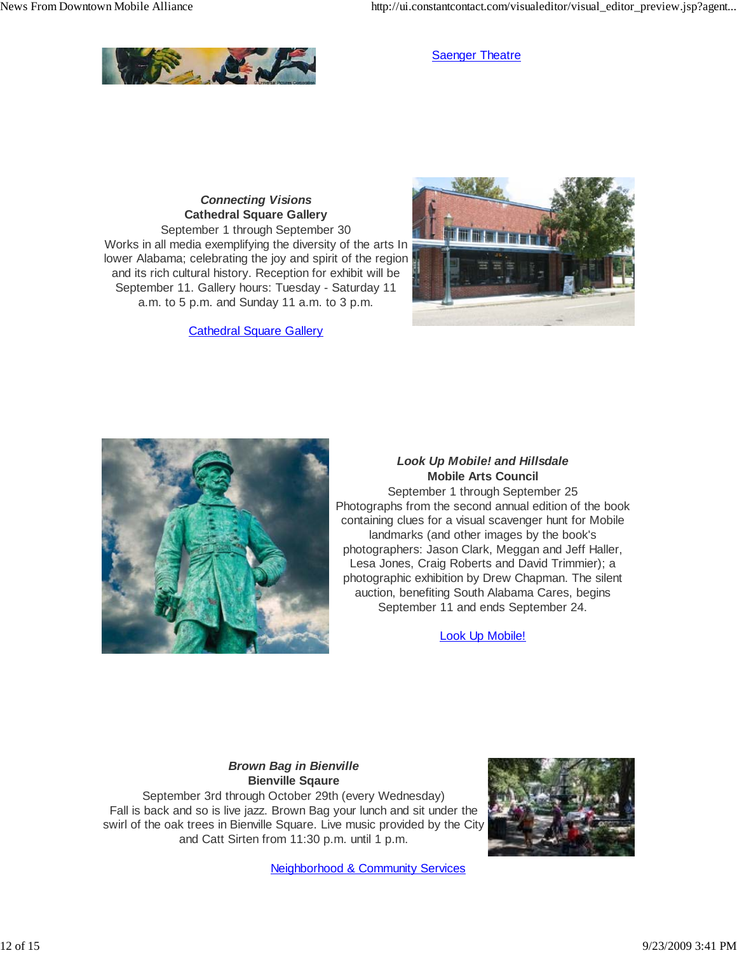

**Saenger Theatre** 

### *Connecting Visions* **Cathedral Square Gallery**

September 1 through September 30 Works in all media exemplifying the diversity of the arts In lower Alabama; celebrating the joy and spirit of the region and its rich cultural history. Reception for exhibit will be September 11. Gallery hours: Tuesday - Saturday 11 a.m. to 5 p.m. and Sunday 11 a.m. to 3 p.m.

Cathedral Square Gallery





### *Look Up Mobile! and Hillsdale* **Mobile Arts Council** September 1 through September 25 Photographs from the second annual edition of the book containing clues for a visual scavenger hunt for Mobile landmarks (and other images by the book's photographers: Jason Clark, Meggan and Jeff Haller, Lesa Jones, Craig Roberts and David Trimmier); a photographic exhibition by Drew Chapman. The silent auction, benefiting South Alabama Cares, begins September 11 and ends September 24.

Look Up Mobile!

### *Brown Bag in Bienville* **Bienville Sqaure**

September 3rd through October 29th (every Wednesday) Fall is back and so is live jazz. Brown Bag your lunch and sit under the swirl of the oak trees in Bienville Square. Live music provided by the City and Catt Sirten from 11:30 p.m. until 1 p.m.



Neighborhood & Community Services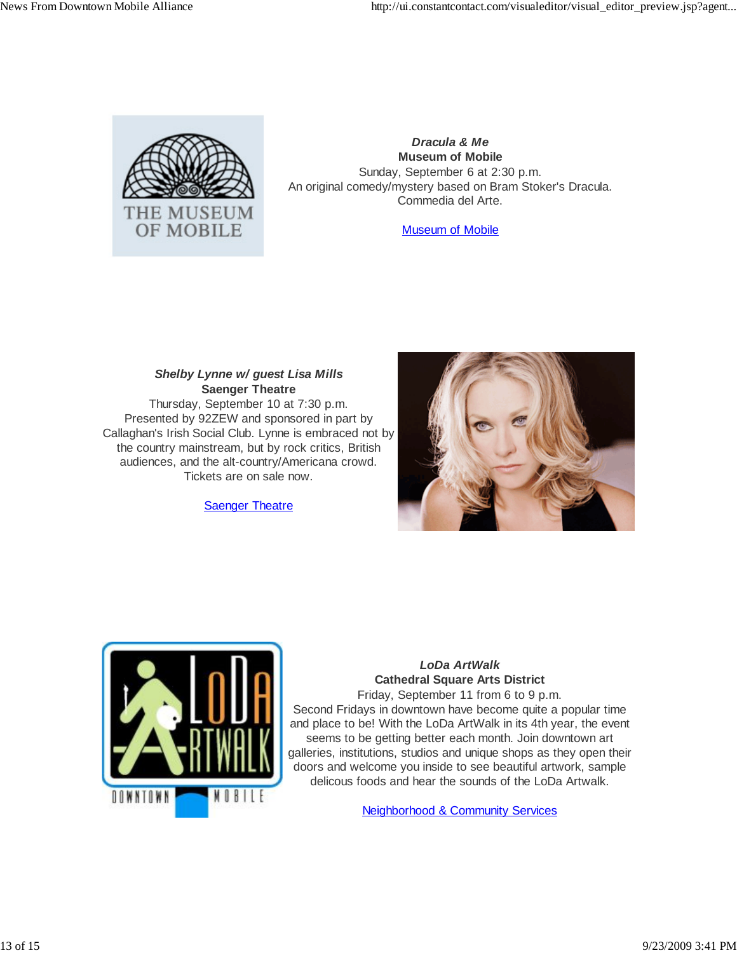

*Dracula & Me* **Museum of Mobile** Sunday, September 6 at 2:30 p.m. An original comedy/mystery based on Bram Stoker's Dracula. Commedia del Arte.

Museum of Mobile

### *Shelby Lynne w/ guest Lisa Mills* **Saenger Theatre**

Thursday, September 10 at 7:30 p.m. Presented by 92ZEW and sponsored in part by Callaghan's Irish Social Club. Lynne is embraced not by the country mainstream, but by rock critics, British audiences, and the alt-country/Americana crowd. Tickets are on sale now.

**Saenger Theatre** 





### *LoDa ArtWalk* **Cathedral Square Arts District**

Friday, September 11 from 6 to 9 p.m. Second Fridays in downtown have become quite a popular time and place to be! With the LoDa ArtWalk in its 4th year, the event seems to be getting better each month. Join downtown art galleries, institutions, studios and unique shops as they open their doors and welcome you inside to see beautiful artwork, sample delicous foods and hear the sounds of the LoDa Artwalk.

Neighborhood & Community Services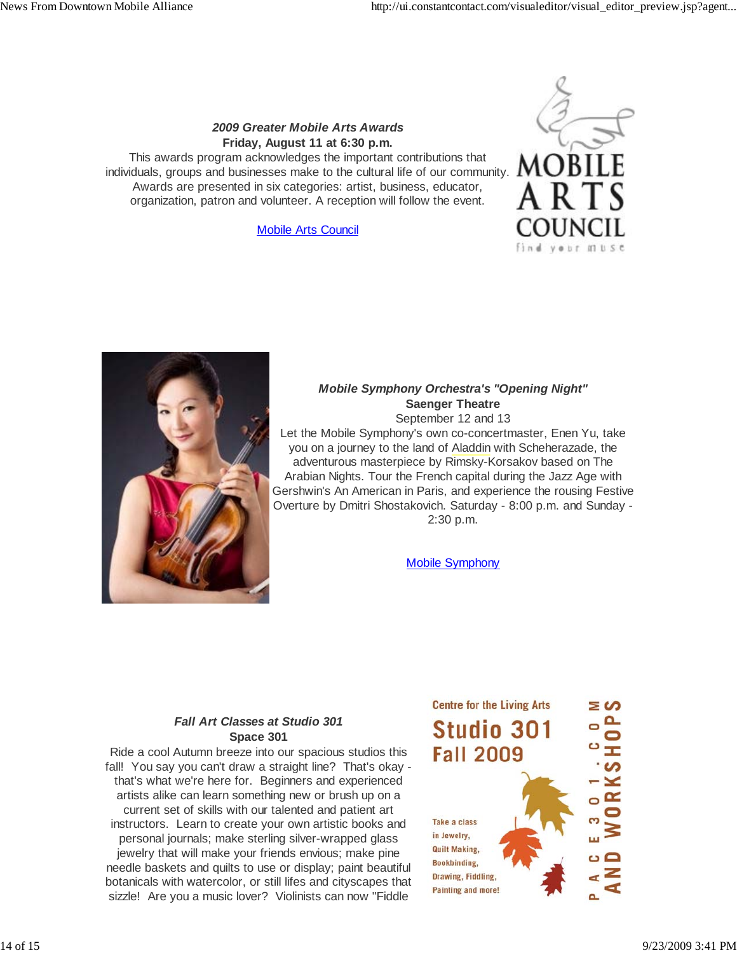### *2009 Greater Mobile Arts Awards* **Friday, August 11 at 6:30 p.m.**

This awards program acknowledges the important contributions that individuals, groups and businesses make to the cultural life of our community. Awards are presented in six categories: artist, business, educator, organization, patron and volunteer. A reception will follow the event.

Mobile Arts Council





### *Mobile Symphony Orchestra's "Opening Night"* **Saenger Theatre**

September 12 and 13

Let the Mobile Symphony's own co-concertmaster, Enen Yu, take you on a journey to the land of Aladdin with Scheherazade, the adventurous masterpiece by Rimsky-Korsakov based on The Arabian Nights. Tour the French capital during the Jazz Age with Gershwin's An American in Paris, and experience the rousing Festive Overture by Dmitri Shostakovich. Saturday - 8:00 p.m. and Sunday - 2:30 p.m.

Mobile Symphony

### *Fall Art Classes at Studio 301* **Space 301**

Ride a cool Autumn breeze into our spacious studios this fall! You say you can't draw a straight line? That's okay that's what we're here for. Beginners and experienced artists alike can learn something new or brush up on a current set of skills with our talented and patient art instructors. Learn to create your own artistic books and personal journals; make sterling silver-wrapped glass jewelry that will make your friends envious; make pine needle baskets and quilts to use or display; paint beautiful botanicals with watercolor, or still lifes and cityscapes that sizzle! Are you a music lover? Violinists can now "Fiddle